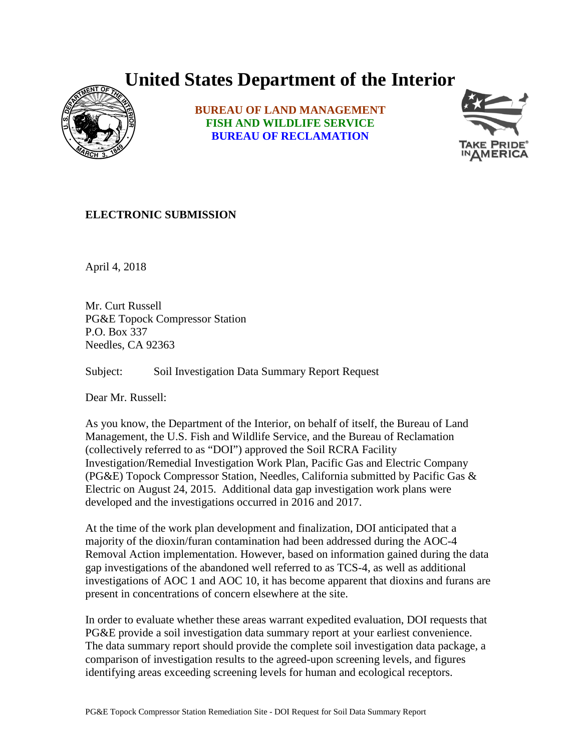## **United States Department of the Interior**



**BUREAU OF LAND MANAGEMENT FISH AND WILDLIFE SERVICE BUREAU OF RECLAMATION**



## **ELECTRONIC SUBMISSION**

April 4, 2018

Mr. Curt Russell PG&E Topock Compressor Station P.O. Box 337 Needles, CA 92363

Subject: Soil Investigation Data Summary Report Request

Dear Mr. Russell:

As you know, the Department of the Interior, on behalf of itself, the Bureau of Land Management, the U.S. Fish and Wildlife Service, and the Bureau of Reclamation (collectively referred to as "DOI") approved the Soil RCRA Facility Investigation/Remedial Investigation Work Plan, Pacific Gas and Electric Company (PG&E) Topock Compressor Station, Needles, California submitted by Pacific Gas & Electric on August 24, 2015. Additional data gap investigation work plans were developed and the investigations occurred in 2016 and 2017.

At the time of the work plan development and finalization, DOI anticipated that a majority of the dioxin/furan contamination had been addressed during the AOC-4 Removal Action implementation. However, based on information gained during the data gap investigations of the abandoned well referred to as TCS-4, as well as additional investigations of AOC 1 and AOC 10, it has become apparent that dioxins and furans are present in concentrations of concern elsewhere at the site.

In order to evaluate whether these areas warrant expedited evaluation, DOI requests that PG&E provide a soil investigation data summary report at your earliest convenience. The data summary report should provide the complete soil investigation data package, a comparison of investigation results to the agreed-upon screening levels, and figures identifying areas exceeding screening levels for human and ecological receptors.